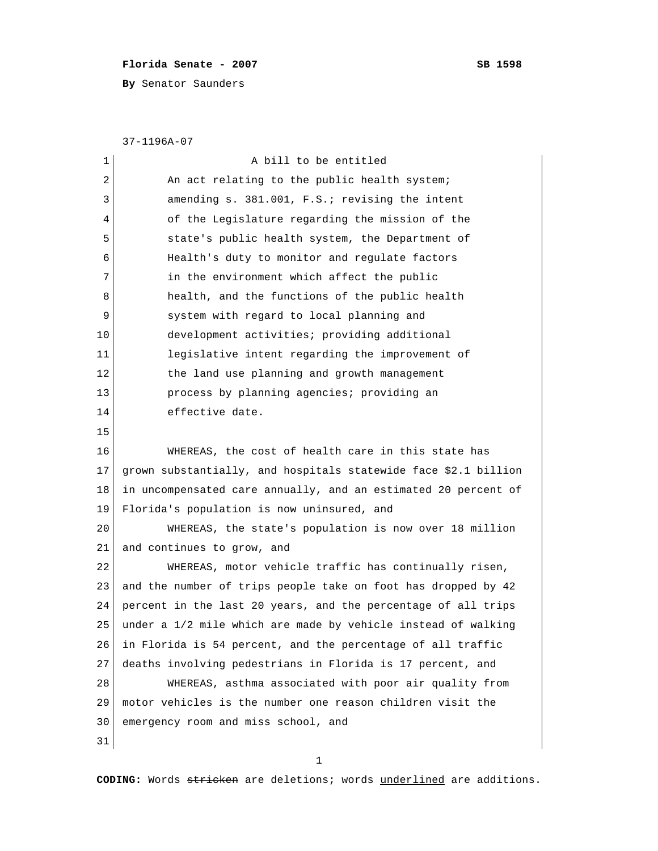## **Florida Senate - 2007** SB 1598

**By** Senator Saunders

37-1196A-07

| $\mathbf 1$ | A bill to be entitled                                           |
|-------------|-----------------------------------------------------------------|
| 2           | An act relating to the public health system;                    |
| 3           | amending s. 381.001, F.S.; revising the intent                  |
| 4           | of the Legislature regarding the mission of the                 |
| 5           | state's public health system, the Department of                 |
| 6           | Health's duty to monitor and regulate factors                   |
| 7           | in the environment which affect the public                      |
| 8           | health, and the functions of the public health                  |
| 9           | system with regard to local planning and                        |
| 10          | development activities; providing additional                    |
| 11          | legislative intent regarding the improvement of                 |
| 12          | the land use planning and growth management                     |
| 13          | process by planning agencies; providing an                      |
| 14          | effective date.                                                 |
| 15          |                                                                 |
| 16          | WHEREAS, the cost of health care in this state has              |
| 17          | grown substantially, and hospitals statewide face \$2.1 billion |
| 18          | in uncompensated care annually, and an estimated 20 percent of  |
| 19          | Florida's population is now uninsured, and                      |
| 20          | WHEREAS, the state's population is now over 18 million          |
| 21          | and continues to grow, and                                      |
| 22          | WHEREAS, motor vehicle traffic has continually risen,           |
| 23          | and the number of trips people take on foot has dropped by 42   |
| 24          | percent in the last 20 years, and the percentage of all trips   |
| 25          | under a 1/2 mile which are made by vehicle instead of walking   |
| 26          | in Florida is 54 percent, and the percentage of all traffic     |
| 27          | deaths involving pedestrians in Florida is 17 percent, and      |
| 28          | WHEREAS, asthma associated with poor air quality from           |
| 29          | motor vehicles is the number one reason children visit the      |
| 30          | emergency room and miss school, and                             |
| 31          |                                                                 |

1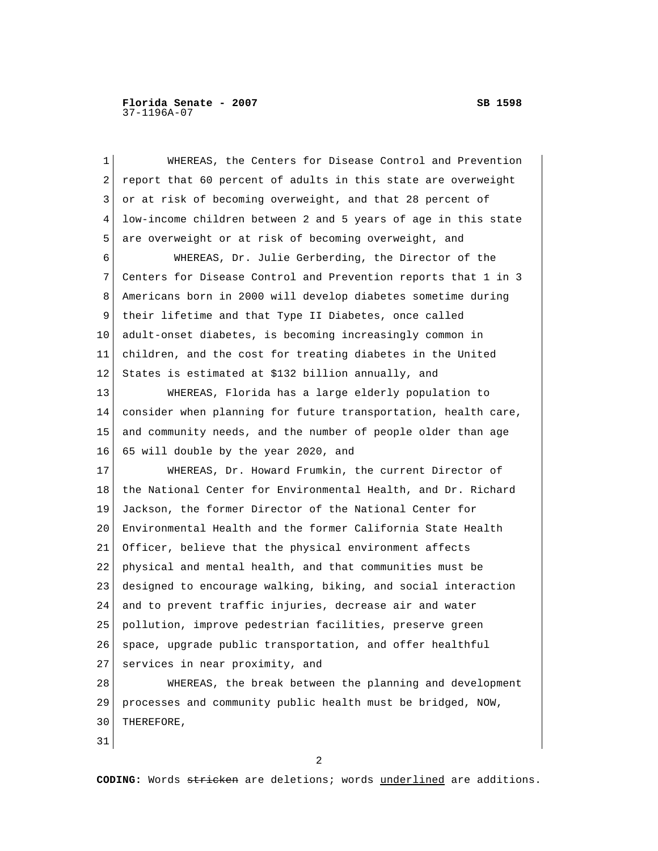| 1  | WHEREAS, the Centers for Disease Control and Prevention        |
|----|----------------------------------------------------------------|
| 2  | report that 60 percent of adults in this state are overweight  |
| 3  | or at risk of becoming overweight, and that 28 percent of      |
| 4  | low-income children between 2 and 5 years of age in this state |
| 5  | are overweight or at risk of becoming overweight, and          |
| 6  | WHEREAS, Dr. Julie Gerberding, the Director of the             |
| 7  | Centers for Disease Control and Prevention reports that 1 in 3 |
| 8  | Americans born in 2000 will develop diabetes sometime during   |
| 9  | their lifetime and that Type II Diabetes, once called          |
| 10 | adult-onset diabetes, is becoming increasingly common in       |
| 11 | children, and the cost for treating diabetes in the United     |
| 12 | States is estimated at \$132 billion annually, and             |
| 13 | WHEREAS, Florida has a large elderly population to             |
| 14 | consider when planning for future transportation, health care, |
| 15 | and community needs, and the number of people older than age   |
| 16 | 65 will double by the year 2020, and                           |
| 17 | WHEREAS, Dr. Howard Frumkin, the current Director of           |
| 18 | the National Center for Environmental Health, and Dr. Richard  |
| 19 | Jackson, the former Director of the National Center for        |
| 20 | Environmental Health and the former California State Health    |
| 21 | Officer, believe that the physical environment affects         |
| 22 | physical and mental health, and that communities must be       |
| 23 | designed to encourage walking, biking, and social interaction  |
| 24 | and to prevent traffic injuries, decrease air and water        |
| 25 | pollution, improve pedestrian facilities, preserve green       |
| 26 | space, upgrade public transportation, and offer healthful      |
| 27 | services in near proximity, and                                |
| 28 | WHEREAS, the break between the planning and development        |
| 29 | processes and community public health must be bridged, NOW,    |
| 30 | THEREFORE,                                                     |
| 31 |                                                                |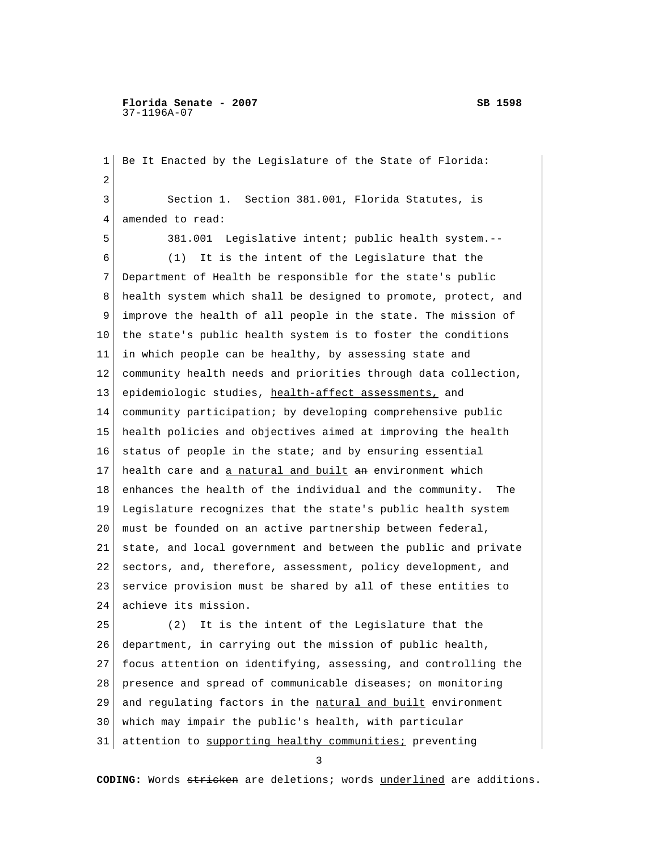**Florida Senate - 2007 SB 1598** 37-1196A-07

 1 Be It Enacted by the Legislature of the State of Florida: 2 3 Section 1. Section 381.001, Florida Statutes, is 4 amended to read: 5 381.001 Legislative intent; public health system.-- 6 (1) It is the intent of the Legislature that the 7 Department of Health be responsible for the state's public 8 health system which shall be designed to promote, protect, and 9 improve the health of all people in the state. The mission of 10 the state's public health system is to foster the conditions 11 in which people can be healthy, by assessing state and 12 community health needs and priorities through data collection, 13 epidemiologic studies, health-affect assessments, and 14 community participation; by developing comprehensive public 15 health policies and objectives aimed at improving the health 16 status of people in the state; and by ensuring essential 17 health care and a natural and built an environment which 18 enhances the health of the individual and the community. The 19 Legislature recognizes that the state's public health system 20 must be founded on an active partnership between federal, 21 state, and local government and between the public and private 22 sectors, and, therefore, assessment, policy development, and 23 service provision must be shared by all of these entities to 24 achieve its mission. 25 (2) It is the intent of the Legislature that the 26 department, in carrying out the mission of public health, 27 focus attention on identifying, assessing, and controlling the 28 presence and spread of communicable diseases; on monitoring 29 and regulating factors in the natural and built environment 30 which may impair the public's health, with particular 31 attention to supporting healthy communities; preventing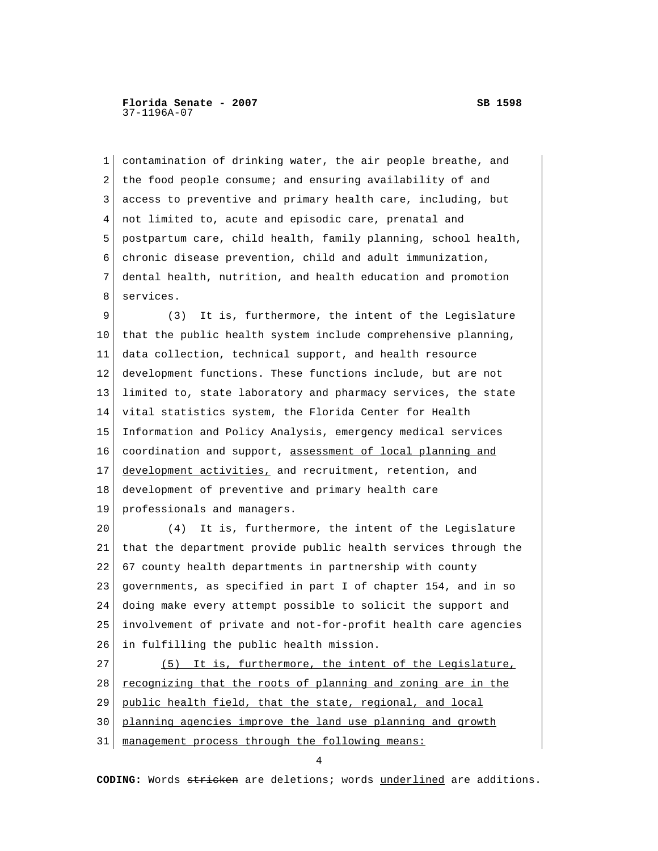1 contamination of drinking water, the air people breathe, and 2 the food people consume; and ensuring availability of and 3 access to preventive and primary health care, including, but 4 not limited to, acute and episodic care, prenatal and 5 postpartum care, child health, family planning, school health, 6 chronic disease prevention, child and adult immunization, 7 dental health, nutrition, and health education and promotion 8 services. 9 (3) It is, furthermore, the intent of the Legislature 10 that the public health system include comprehensive planning, 11 data collection, technical support, and health resource 12 development functions. These functions include, but are not 13 limited to, state laboratory and pharmacy services, the state 14 vital statistics system, the Florida Center for Health 15 Information and Policy Analysis, emergency medical services 16 coordination and support, assessment of local planning and 17 development activities, and recruitment, retention, and 18 development of preventive and primary health care 19 professionals and managers. 20 (4) It is, furthermore, the intent of the Legislature 21 that the department provide public health services through the 22 67 county health departments in partnership with county 23 governments, as specified in part I of chapter 154, and in so 24 doing make every attempt possible to solicit the support and 25 involvement of private and not-for-profit health care agencies 26 in fulfilling the public health mission. 27 (5) It is, furthermore, the intent of the Legislature,  $28$  recognizing that the roots of planning and zoning are in the 29 public health field, that the state, regional, and local 30 planning agencies improve the land use planning and growth 31 management process through the following means:

4